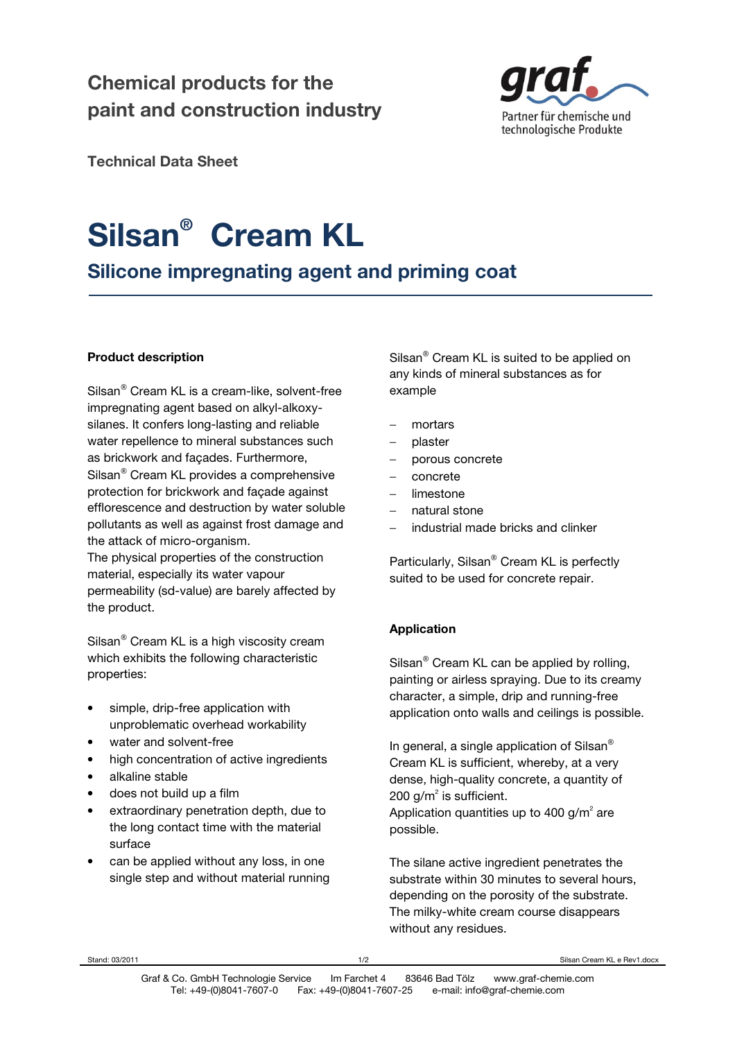# **Chemical products for the paint and construction industry**



**Technical Data Sheet** 

# **Silsan® Cream KL**

**Silicone impregnating agent and priming coat** 

## **Product description**

Silsan<sup>®</sup> Cream KL is a cream-like, solvent-free impregnating agent based on alkyl-alkoxysilanes. It confers long-lasting and reliable water repellence to mineral substances such as brickwork and façades. Furthermore, Silsan<sup>®</sup> Cream KL provides a comprehensive protection for brickwork and façade against efflorescence and destruction by water soluble pollutants as well as against frost damage and the attack of micro-organism.

The physical properties of the construction material, especially its water vapour permeability (sd-value) are barely affected by the product.

Silsan<sup>®</sup> Cream KL is a high viscosity cream which exhibits the following characteristic properties:

- simple, drip-free application with unproblematic overhead workability
- water and solvent-free
- high concentration of active ingredients
- alkaline stable
- does not build up a film
- extraordinary penetration depth, due to the long contact time with the material surface
- can be applied without any loss, in one single step and without material running

Silsan $^{\circledR}$  Cream KL is suited to be applied on any kinds of mineral substances as for example

- mortars
- − plaster
- − porous concrete
- − concrete
- − limestone
- − natural stone
- industrial made bricks and clinker

Particularly, Silsan® Cream KL is perfectly suited to be used for concrete repair.

# **Application**

Silsan $^{\circ}$  Cream KL can be applied by rolling, painting or airless spraying. Due to its creamy character, a simple, drip and running-free application onto walls and ceilings is possible.

In general, a single application of Silsan<sup>®</sup> Cream KL is sufficient, whereby, at a very dense, high-quality concrete, a quantity of 200 g/m $^2$  is sufficient. Application quantities up to 400 g/m<sup>2</sup> are possible.

The silane active ingredient penetrates the substrate within 30 minutes to several hours, depending on the porosity of the substrate. The milky-white cream course disappears without any residues.